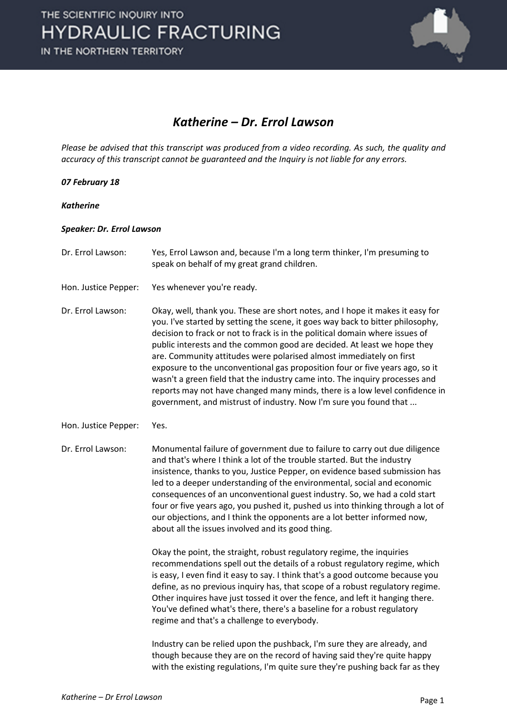

### *Katherine – Dr. Errol Lawson*

*Please be advised that this transcript was produced from a video recording. As such, the quality and accuracy of this transcript cannot be guaranteed and the Inquiry is not liable for any errors.*

#### *07 February 18*

*Katherine*

#### *Speaker: Dr. Errol Lawson*

- Dr. Errol Lawson: Yes, Errol Lawson and, because I'm a long term thinker, I'm presuming to speak on behalf of my great grand children. Hon. Justice Pepper: Yes whenever you're ready. Dr. Errol Lawson: Okay, well, thank you. These are short notes, and I hope it makes it easy for you. I've started by setting the scene, it goes way back to bitter philosophy, decision to frack or not to frack is in the political domain where issues of public interests and the common good are decided. At least we hope they are. Community attitudes were polarised almost immediately on first exposure to the unconventional gas proposition four or five years ago, so it wasn't a green field that the industry came into. The inquiry processes and reports may not have changed many minds, there is a low level confidence in government, and mistrust of industry. Now I'm sure you found that ...
- Hon. Justice Pepper: Yes.

Dr. Errol Lawson: Monumental failure of government due to failure to carry out due diligence and that's where I think a lot of the trouble started. But the industry insistence, thanks to you, Justice Pepper, on evidence based submission has led to a deeper understanding of the environmental, social and economic consequences of an unconventional guest industry. So, we had a cold start four or five years ago, you pushed it, pushed us into thinking through a lot of our objections, and I think the opponents are a lot better informed now, about all the issues involved and its good thing.

> Okay the point, the straight, robust regulatory regime, the inquiries recommendations spell out the details of a robust regulatory regime, which is easy, I even find it easy to say. I think that's a good outcome because you define, as no previous inquiry has, that scope of a robust regulatory regime. Other inquires have just tossed it over the fence, and left it hanging there. You've defined what's there, there's a baseline for a robust regulatory regime and that's a challenge to everybody.

> Industry can be relied upon the pushback, I'm sure they are already, and though because they are on the record of having said they're quite happy with the existing regulations, I'm quite sure they're pushing back far as they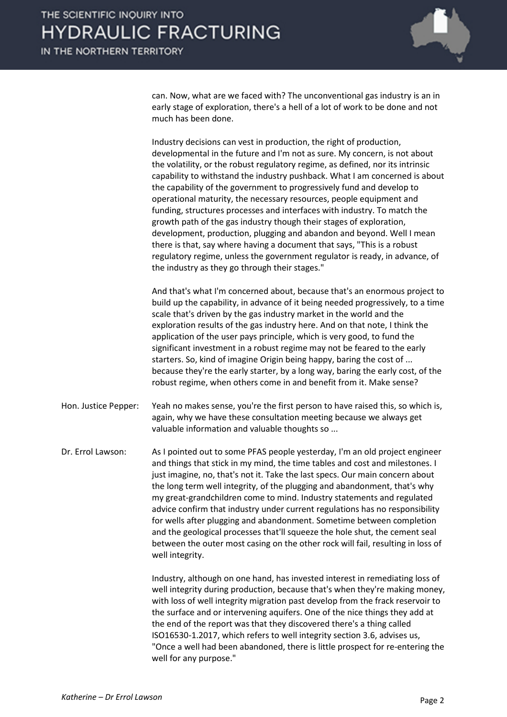can. Now, what are we faced with? The unconventional gas industry is an in early stage of exploration, there's a hell of a lot of work to be done and not much has been done.

Industry decisions can vest in production, the right of production, developmental in the future and I'm not as sure. My concern, is not about the volatility, or the robust regulatory regime, as defined, nor its intrinsic capability to withstand the industry pushback. What I am concerned is about the capability of the government to progressively fund and develop to operational maturity, the necessary resources, people equipment and funding, structures processes and interfaces with industry. To match the growth path of the gas industry though their stages of exploration, development, production, plugging and abandon and beyond. Well I mean there is that, say where having a document that says, "This is a robust regulatory regime, unless the government regulator is ready, in advance, of the industry as they go through their stages."

And that's what I'm concerned about, because that's an enormous project to build up the capability, in advance of it being needed progressively, to a time scale that's driven by the gas industry market in the world and the exploration results of the gas industry here. And on that note, I think the application of the user pays principle, which is very good, to fund the significant investment in a robust regime may not be feared to the early starters. So, kind of imagine Origin being happy, baring the cost of ... because they're the early starter, by a long way, baring the early cost, of the robust regime, when others come in and benefit from it. Make sense?

Hon. Justice Pepper: Yeah no makes sense, you're the first person to have raised this, so which is, again, why we have these consultation meeting because we always get valuable information and valuable thoughts so ...

Dr. Errol Lawson: As I pointed out to some PFAS people yesterday, I'm an old project engineer and things that stick in my mind, the time tables and cost and milestones. I just imagine, no, that's not it. Take the last specs. Our main concern about the long term well integrity, of the plugging and abandonment, that's why my great-grandchildren come to mind. Industry statements and regulated advice confirm that industry under current regulations has no responsibility for wells after plugging and abandonment. Sometime between completion and the geological processes that'll squeeze the hole shut, the cement seal between the outer most casing on the other rock will fail, resulting in loss of well integrity.

> Industry, although on one hand, has invested interest in remediating loss of well integrity during production, because that's when they're making money, with loss of well integrity migration past develop from the frack reservoir to the surface and or intervening aquifers. One of the nice things they add at the end of the report was that they discovered there's a thing called ISO16530-1.2017, which refers to well integrity section 3.6, advises us, "Once a well had been abandoned, there is little prospect for re-entering the well for any purpose."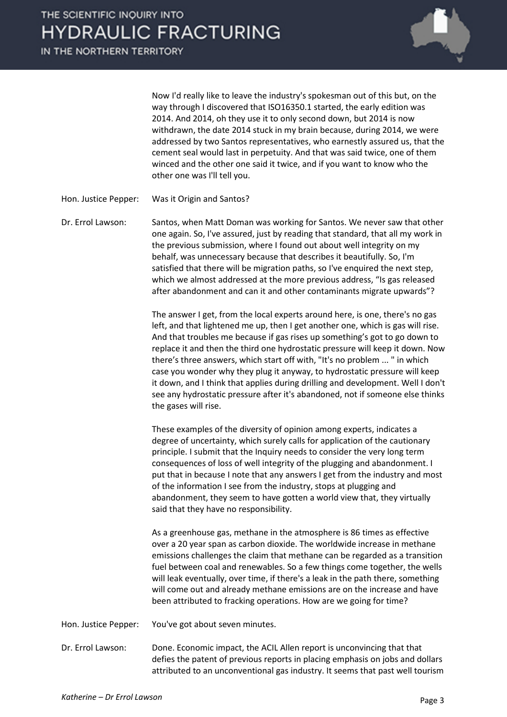IN THE NORTHERN TERRITORY



Now I'd really like to leave the industry's spokesman out of this but, on the way through I discovered that ISO16350.1 started, the early edition was 2014. And 2014, oh they use it to only second down, but 2014 is now withdrawn, the date 2014 stuck in my brain because, during 2014, we were addressed by two Santos representatives, who earnestly assured us, that the cement seal would last in perpetuity. And that was said twice, one of them winced and the other one said it twice, and if you want to know who the other one was I'll tell you.

Hon. Justice Pepper: Was it Origin and Santos?

Dr. Errol Lawson: Santos, when Matt Doman was working for Santos. We never saw that other one again. So, I've assured, just by reading that standard, that all my work in the previous submission, where I found out about well integrity on my behalf, was unnecessary because that describes it beautifully. So, I'm satisfied that there will be migration paths, so I've enquired the next step, which we almost addressed at the more previous address, "Is gas released after abandonment and can it and other contaminants migrate upwards"?

> The answer I get, from the local experts around here, is one, there's no gas left, and that lightened me up, then I get another one, which is gas will rise. And that troubles me because if gas rises up something's got to go down to replace it and then the third one hydrostatic pressure will keep it down. Now there's three answers, which start off with, "It's no problem ... " in which case you wonder why they plug it anyway, to hydrostatic pressure will keep it down, and I think that applies during drilling and development. Well I don't see any hydrostatic pressure after it's abandoned, not if someone else thinks the gases will rise.

These examples of the diversity of opinion among experts, indicates a degree of uncertainty, which surely calls for application of the cautionary principle. I submit that the Inquiry needs to consider the very long term consequences of loss of well integrity of the plugging and abandonment. I put that in because I note that any answers I get from the industry and most of the information I see from the industry, stops at plugging and abandonment, they seem to have gotten a world view that, they virtually said that they have no responsibility.

As a greenhouse gas, methane in the atmosphere is 86 times as effective over a 20 year span as carbon dioxide. The worldwide increase in methane emissions challenges the claim that methane can be regarded as a transition fuel between coal and renewables. So a few things come together, the wells will leak eventually, over time, if there's a leak in the path there, something will come out and already methane emissions are on the increase and have been attributed to fracking operations. How are we going for time?

Hon. Justice Pepper: You've got about seven minutes.

Dr. Errol Lawson: Done. Economic impact, the ACIL Allen report is unconvincing that that defies the patent of previous reports in placing emphasis on jobs and dollars attributed to an unconventional gas industry. It seems that past well tourism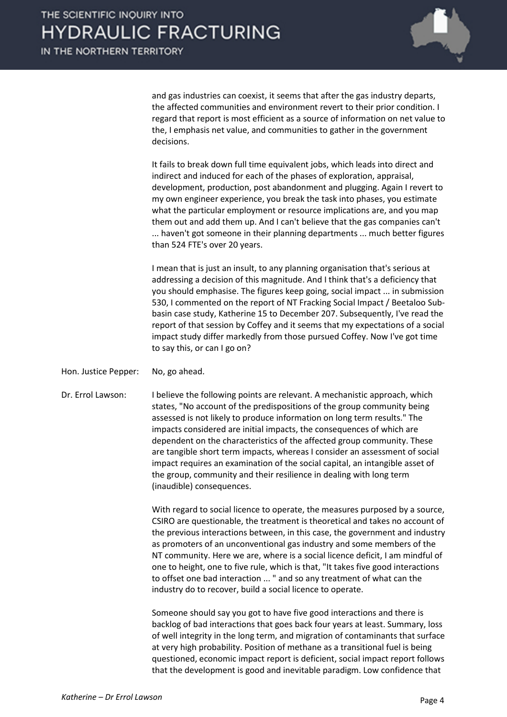and gas industries can coexist, it seems that after the gas industry departs, the affected communities and environment revert to their prior condition. I regard that report is most efficient as a source of information on net value to the, I emphasis net value, and communities to gather in the government decisions.

It fails to break down full time equivalent jobs, which leads into direct and indirect and induced for each of the phases of exploration, appraisal, development, production, post abandonment and plugging. Again I revert to my own engineer experience, you break the task into phases, you estimate what the particular employment or resource implications are, and you map them out and add them up. And I can't believe that the gas companies can't ... haven't got someone in their planning departments ... much better figures than 524 FTE's over 20 years.

I mean that is just an insult, to any planning organisation that's serious at addressing a decision of this magnitude. And I think that's a deficiency that you should emphasise. The figures keep going, social impact ... in submission 530, I commented on the report of NT Fracking Social Impact / Beetaloo Subbasin case study, Katherine 15 to December 207. Subsequently, I've read the report of that session by Coffey and it seems that my expectations of a social impact study differ markedly from those pursued Coffey. Now I've got time to say this, or can I go on?

Hon. Justice Pepper: No, go ahead.

Dr. Errol Lawson: I believe the following points are relevant. A mechanistic approach, which states, "No account of the predispositions of the group community being assessed is not likely to produce information on long term results." The impacts considered are initial impacts, the consequences of which are dependent on the characteristics of the affected group community. These are tangible short term impacts, whereas I consider an assessment of social impact requires an examination of the social capital, an intangible asset of the group, community and their resilience in dealing with long term (inaudible) consequences.

> With regard to social licence to operate, the measures purposed by a source, CSIRO are questionable, the treatment is theoretical and takes no account of the previous interactions between, in this case, the government and industry as promoters of an unconventional gas industry and some members of the NT community. Here we are, where is a social licence deficit, I am mindful of one to height, one to five rule, which is that, "It takes five good interactions to offset one bad interaction ... " and so any treatment of what can the industry do to recover, build a social licence to operate.

> Someone should say you got to have five good interactions and there is backlog of bad interactions that goes back four years at least. Summary, loss of well integrity in the long term, and migration of contaminants that surface at very high probability. Position of methane as a transitional fuel is being questioned, economic impact report is deficient, social impact report follows that the development is good and inevitable paradigm. Low confidence that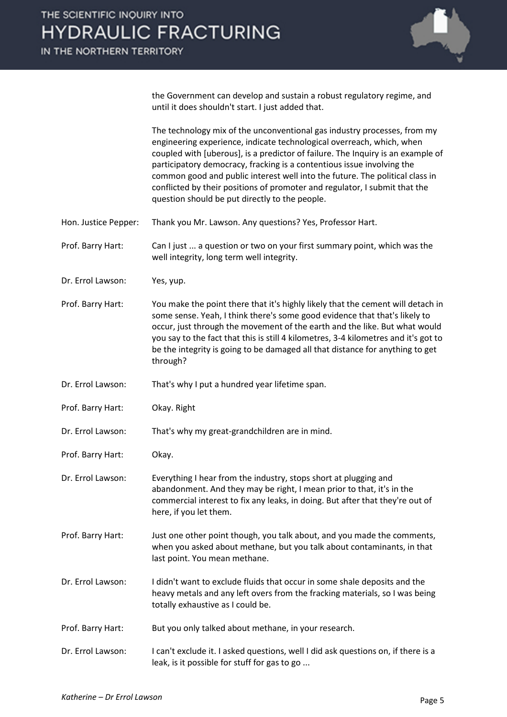

the Government can develop and sustain a robust regulatory regime, and until it does shouldn't start. I just added that.

The technology mix of the unconventional gas industry processes, from my engineering experience, indicate technological overreach, which, when coupled with [uberous], is a predictor of failure. The Inquiry is an example of participatory democracy, fracking is a contentious issue involving the common good and public interest well into the future. The political class in conflicted by their positions of promoter and regulator, I submit that the question should be put directly to the people.

- Hon. Justice Pepper: Thank you Mr. Lawson. Any questions? Yes, Professor Hart.
- Prof. Barry Hart: Can I just ... a question or two on your first summary point, which was the well integrity, long term well integrity.
- Dr. Errol Lawson: Yes, yup.
- Prof. Barry Hart: You make the point there that it's highly likely that the cement will detach in some sense. Yeah, I think there's some good evidence that that's likely to occur, just through the movement of the earth and the like. But what would you say to the fact that this is still 4 kilometres, 3-4 kilometres and it's got to be the integrity is going to be damaged all that distance for anything to get through?
- Dr. Errol Lawson: That's why I put a hundred year lifetime span.
- Prof. Barry Hart: Okay. Right
- Dr. Errol Lawson: That's why my great-grandchildren are in mind.
- Prof. Barry Hart: Okay.
- Dr. Errol Lawson: Everything I hear from the industry, stops short at plugging and abandonment. And they may be right, I mean prior to that, it's in the commercial interest to fix any leaks, in doing. But after that they're out of here, if you let them.
- Prof. Barry Hart: Just one other point though, you talk about, and you made the comments, when you asked about methane, but you talk about contaminants, in that last point. You mean methane.
- Dr. Errol Lawson: I didn't want to exclude fluids that occur in some shale deposits and the heavy metals and any left overs from the fracking materials, so I was being totally exhaustive as I could be.
- Prof. Barry Hart: But you only talked about methane, in your research.
- Dr. Errol Lawson: I can't exclude it. I asked questions, well I did ask questions on, if there is a leak, is it possible for stuff for gas to go ...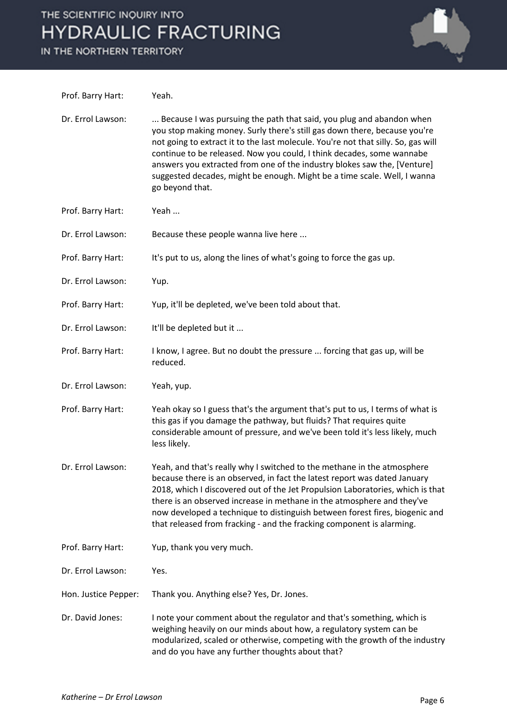# THE SCIENTIFIC INQUIRY INTO **HYDRAULIC FRACTURING**

IN THE NORTHERN TERRITORY



| Prof. Barry Hart:    | Yeah.                                                                                                                                                                                                                                                                                                                                                                                                                                                                                      |
|----------------------|--------------------------------------------------------------------------------------------------------------------------------------------------------------------------------------------------------------------------------------------------------------------------------------------------------------------------------------------------------------------------------------------------------------------------------------------------------------------------------------------|
| Dr. Errol Lawson:    | Because I was pursuing the path that said, you plug and abandon when<br>you stop making money. Surly there's still gas down there, because you're<br>not going to extract it to the last molecule. You're not that silly. So, gas will<br>continue to be released. Now you could, I think decades, some wannabe<br>answers you extracted from one of the industry blokes saw the, [Venture]<br>suggested decades, might be enough. Might be a time scale. Well, I wanna<br>go beyond that. |
| Prof. Barry Hart:    | Yeah                                                                                                                                                                                                                                                                                                                                                                                                                                                                                       |
| Dr. Errol Lawson:    | Because these people wanna live here                                                                                                                                                                                                                                                                                                                                                                                                                                                       |
| Prof. Barry Hart:    | It's put to us, along the lines of what's going to force the gas up.                                                                                                                                                                                                                                                                                                                                                                                                                       |
| Dr. Errol Lawson:    | Yup.                                                                                                                                                                                                                                                                                                                                                                                                                                                                                       |
| Prof. Barry Hart:    | Yup, it'll be depleted, we've been told about that.                                                                                                                                                                                                                                                                                                                                                                                                                                        |
| Dr. Errol Lawson:    | It'll be depleted but it                                                                                                                                                                                                                                                                                                                                                                                                                                                                   |
| Prof. Barry Hart:    | I know, I agree. But no doubt the pressure  forcing that gas up, will be<br>reduced.                                                                                                                                                                                                                                                                                                                                                                                                       |
| Dr. Errol Lawson:    | Yeah, yup.                                                                                                                                                                                                                                                                                                                                                                                                                                                                                 |
| Prof. Barry Hart:    | Yeah okay so I guess that's the argument that's put to us, I terms of what is<br>this gas if you damage the pathway, but fluids? That requires quite<br>considerable amount of pressure, and we've been told it's less likely, much<br>less likely.                                                                                                                                                                                                                                        |
| Dr. Errol Lawson:    | Yeah, and that's really why I switched to the methane in the atmosphere<br>because there is an observed, in fact the latest report was dated January<br>2018, which I discovered out of the Jet Propulsion Laboratories, which is that<br>there is an observed increase in methane in the atmosphere and they've<br>now developed a technique to distinguish between forest fires, biogenic and<br>that released from fracking - and the fracking component is alarming.                   |
| Prof. Barry Hart:    | Yup, thank you very much.                                                                                                                                                                                                                                                                                                                                                                                                                                                                  |
| Dr. Errol Lawson:    | Yes.                                                                                                                                                                                                                                                                                                                                                                                                                                                                                       |
| Hon. Justice Pepper: | Thank you. Anything else? Yes, Dr. Jones.                                                                                                                                                                                                                                                                                                                                                                                                                                                  |
| Dr. David Jones:     | I note your comment about the regulator and that's something, which is<br>weighing heavily on our minds about how, a regulatory system can be<br>modularized, scaled or otherwise, competing with the growth of the industry<br>and do you have any further thoughts about that?                                                                                                                                                                                                           |